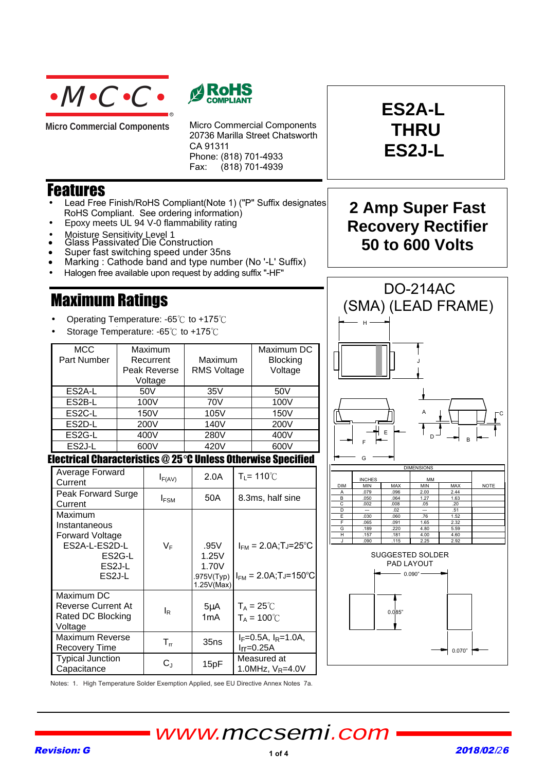

**Micro Commercial Components** 



Micro Commercial Components 20736 Marilla Street Chatsworth CA 91311 Phone: (818) 701-4933 Fax: (818) 701-4939

### Features

- Lead Free Finish/RoHS Compliant(Note 1) ("P" Suffix designates RoHS Compliant. See ordering information)
- Epoxy meets UL 94 V-0 flammability rating
- Moisture Sensitivity\_Level 1
- Glass Passivated Die Construction
- Super fast switching speed under 35ns
- Marking : Cathode band and type number (No '-L' Suffix)

R

• Halogen free available upon request by adding suffix "-HF"

## Maximum Ratings

- Operating Temperature:  $-65^{\circ}$ C to  $+175^{\circ}$ C
- Storage Temperature:  $-65^{\circ}$  to  $+175^{\circ}$

| <b>MCC</b><br>Part Number | Maximum<br>Recurrent<br>Peak Reverse<br>Voltage | Maximum<br><b>RMS Voltage</b> | Maximum DC<br><b>Blocking</b><br>Voltage |
|---------------------------|-------------------------------------------------|-------------------------------|------------------------------------------|
| ES <sub>2</sub> A-L       | 50V                                             | 35V                           | 50V                                      |
| ES2B-L                    | 100V                                            | 70V                           | 100V                                     |
| ES <sub>2</sub> C-L       | 150V                                            | 105V                          | 150V                                     |
| ES <sub>2</sub> D-L       | 200V                                            | 140V                          | 200V                                     |
| ES2G-L                    | 400V                                            | 280V                          | 400V                                     |
| ES <sub>2</sub> J-L       | 600V                                            | 420V                          | 600V                                     |

Electrical Characteristics @ 25°C Unless Otherwise Specified

| Average Forward<br>Current                                                                                                  | $I_{F(AV)}$    | 2.0A                                               | $T_1 = 110^{\circ}C$                                     |
|-----------------------------------------------------------------------------------------------------------------------------|----------------|----------------------------------------------------|----------------------------------------------------------|
| Peak Forward Surge<br>Current                                                                                               | $I_{FSM}$      | 50A                                                | 8.3ms, half sine                                         |
| Maximum<br>Instantaneous<br><b>Forward Voltage</b><br>ES2A-L-ES2D-L<br>ES <sub>2</sub> G-L<br>ES2J-L<br>ES <sub>2</sub> J-L | V⊧             | .95V<br>1.25V<br>1.70V<br>.975V(Typ)<br>1.25V(Max) | $I_{FM} = 2.0A$ ;TJ=25°C<br>$I_{FM} = 2.0A$ ;Tj=150°C    |
| Maximum DC<br>Reverse Current At<br>Rated DC Blocking<br>Voltage                                                            | l <sub>R</sub> | $5\mu$ A<br>1 <sub>m</sub> A                       | $T_A = 25^{\circ}$ C<br>$T_A = 100^{\circ}$              |
| Maximum Reverse<br>Recovery Time                                                                                            | $T_{rr}$       | 35ns                                               | I <sub>F</sub> =0.5A, I <sub>R</sub> =1.0A,<br>Irr=0.25A |
| <b>Typical Junction</b><br>Capacitance                                                                                      | $C_{J}$        | 15pF                                               | Measured at<br>1.0MHz, $V_R$ =4.0V                       |

## **2 Amp Super Fast Recovery Rectifier 50 to 600 Volts**

**ES2A-L**

**THRU**

**ES2J-L**







Notes: 1. High Temperature Solder Exemption Applied, see EU Directive Annex Notes 7a.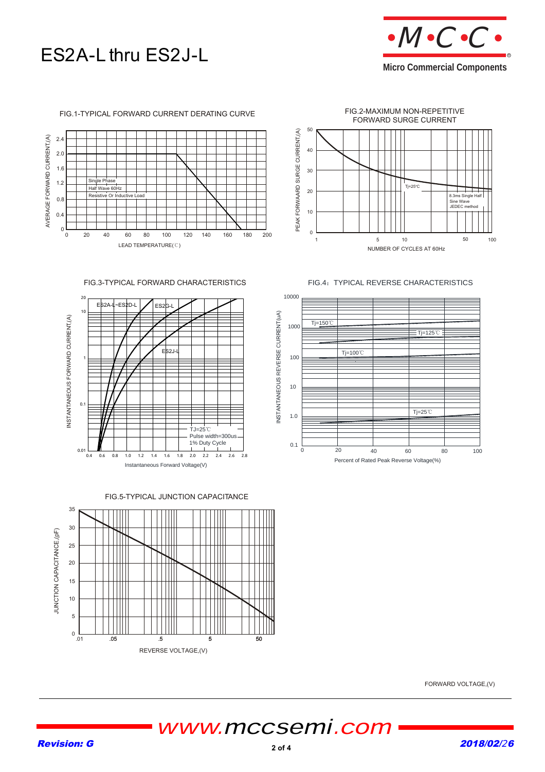



#### FIG.1-TYPICAL FORWARD CURRENT DERATING CURVE





FIG.3-TYPICAL FORWARD CHARACTERISTICS



FIG.5-TYPICAL JUNCTION CAPACITANCE



FIG.4: TYPICAL REVERSE CHARACTERISTICS



FORWARD VOLTAGE,(V)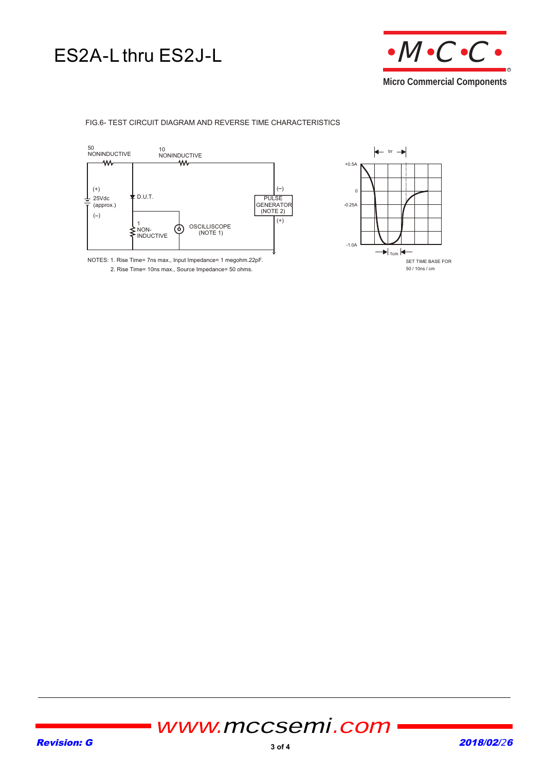## ES2A-L thru ES2J-L



### FIG.6- TEST CIRCUIT DIAGRAM AND REVERSE TIME CHARACTERISTICS



NOTES: 1. Rise Time= 7ns max., Input Impedance= 1 megohm.22pF. 2. Rise Time= 10ns max., Source Impedance= 50 ohms.